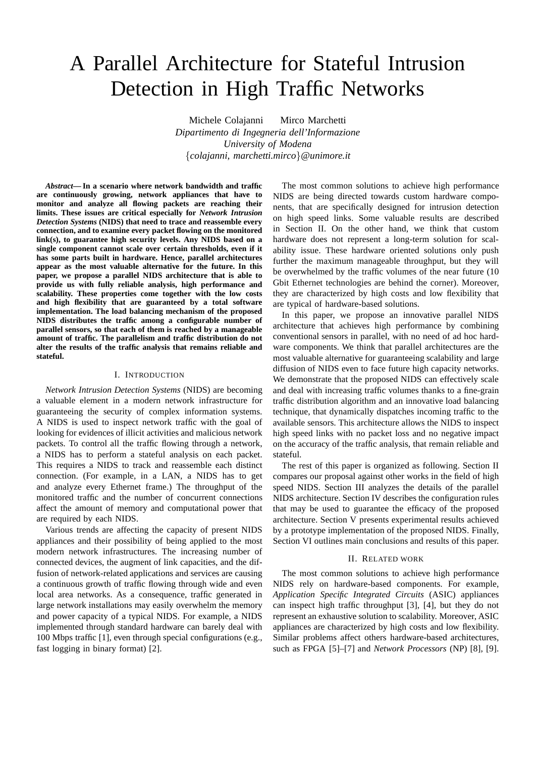# A Parallel Architecture for Stateful Intrusion Detection in High Traffic Networks

Michele Colajanni Mirco Marchetti *Dipartimento di Ingegneria dell'Informazione University of Modena* {*colajanni, marchetti.mirco*}*@unimore.it*

*Abstract***— In a scenario where network bandwidth and traffic are continuously growing, network appliances that have to monitor and analyze all flowing packets are reaching their limits. These issues are critical especially for** *Network Intrusion Detection Systems* **(NIDS) that need to trace and reassemble every connection, and to examine every packet flowing on the monitored link(s), to guarantee high security levels. Any NIDS based on a single component cannot scale over certain thresholds, even if it has some parts built in hardware. Hence, parallel architectures appear as the most valuable alternative for the future. In this paper, we propose a parallel NIDS architecture that is able to provide us with fully reliable analysis, high performance and scalability. These properties come together with the low costs and high flexibility that are guaranteed by a total software implementation. The load balancing mechanism of the proposed NIDS distributes the traffic among a configurable number of parallel sensors, so that each of them is reached by a manageable amount of traffic. The parallelism and traffic distribution do not alter the results of the traffic analysis that remains reliable and stateful.**

## I. INTRODUCTION

*Network Intrusion Detection Systems* (NIDS) are becoming a valuable element in a modern network infrastructure for guaranteeing the security of complex information systems. A NIDS is used to inspect network traffic with the goal of looking for evidences of illicit activities and malicious network packets. To control all the traffic flowing through a network, a NIDS has to perform a stateful analysis on each packet. This requires a NIDS to track and reassemble each distinct connection. (For example, in a LAN, a NIDS has to get and analyze every Ethernet frame.) The throughput of the monitored traffic and the number of concurrent connections affect the amount of memory and computational power that are required by each NIDS.

Various trends are affecting the capacity of present NIDS appliances and their possibility of being applied to the most modern network infrastructures. The increasing number of connected devices, the augment of link capacities, and the diffusion of network-related applications and services are causing a continuous growth of traffic flowing through wide and even local area networks. As a consequence, traffic generated in large network installations may easily overwhelm the memory and power capacity of a typical NIDS. For example, a NIDS implemented through standard hardware can barely deal with 100 Mbps traffic [1], even through special configurations (e.g., fast logging in binary format) [2].

The most common solutions to achieve high performance NIDS are being directed towards custom hardware components, that are specifically designed for intrusion detection on high speed links. Some valuable results are described in Section II. On the other hand, we think that custom hardware does not represent a long-term solution for scalability issue. These hardware oriented solutions only push further the maximum manageable throughput, but they will be overwhelmed by the traffic volumes of the near future (10 Gbit Ethernet technologies are behind the corner). Moreover, they are characterized by high costs and low flexibility that are typical of hardware-based solutions.

In this paper, we propose an innovative parallel NIDS architecture that achieves high performance by combining conventional sensors in parallel, with no need of ad hoc hardware components. We think that parallel architectures are the most valuable alternative for guaranteeing scalability and large diffusion of NIDS even to face future high capacity networks. We demonstrate that the proposed NIDS can effectively scale and deal with increasing traffic volumes thanks to a fine-grain traffic distribution algorithm and an innovative load balancing technique, that dynamically dispatches incoming traffic to the available sensors. This architecture allows the NIDS to inspect high speed links with no packet loss and no negative impact on the accuracy of the traffic analysis, that remain reliable and stateful.

The rest of this paper is organized as following. Section II compares our proposal against other works in the field of high speed NIDS. Section III analyzes the details of the parallel NIDS architecture. Section IV describes the configuration rules that may be used to guarantee the efficacy of the proposed architecture. Section V presents experimental results achieved by a prototype implementation of the proposed NIDS. Finally, Section VI outlines main conclusions and results of this paper.

#### II. RELATED WORK

The most common solutions to achieve high performance NIDS rely on hardware-based components. For example, *Application Specific Integrated Circuits* (ASIC) appliances can inspect high traffic throughput [3], [4], but they do not represent an exhaustive solution to scalability. Moreover, ASIC appliances are characterized by high costs and low flexibility. Similar problems affect others hardware-based architectures, such as FPGA [5]–[7] and *Network Processors* (NP) [8], [9].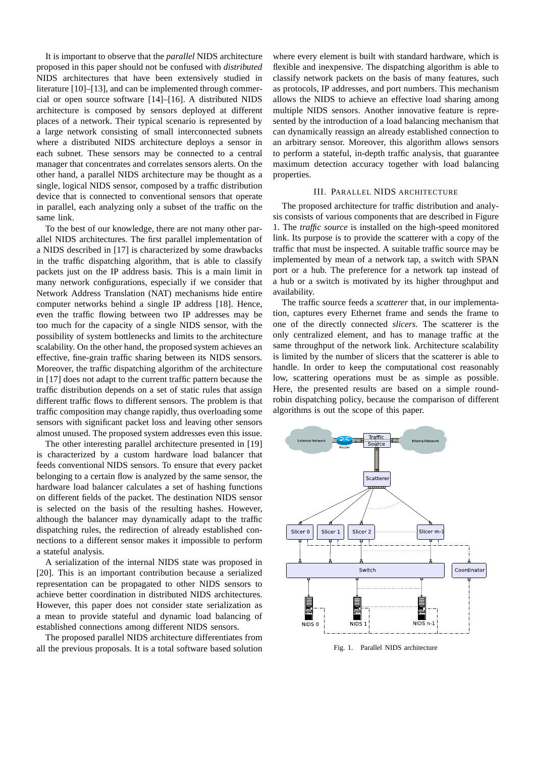It is important to observe that the *parallel* NIDS architecture proposed in this paper should not be confused with *distributed* NIDS architectures that have been extensively studied in literature [10]–[13], and can be implemented through commercial or open source software [14]–[16]. A distributed NIDS architecture is composed by sensors deployed at different places of a network. Their typical scenario is represented by a large network consisting of small interconnected subnets where a distributed NIDS architecture deploys a sensor in each subnet. These sensors may be connected to a central manager that concentrates and correlates sensors alerts. On the other hand, a parallel NIDS architecture may be thought as a single, logical NIDS sensor, composed by a traffic distribution device that is connected to conventional sensors that operate in parallel, each analyzing only a subset of the traffic on the same link.

To the best of our knowledge, there are not many other parallel NIDS architectures. The first parallel implementation of a NIDS described in [17] is characterized by some drawbacks in the traffic dispatching algorithm, that is able to classify packets just on the IP address basis. This is a main limit in many network configurations, especially if we consider that Network Address Translation (NAT) mechanisms hide entire computer networks behind a single IP address [18]. Hence, even the traffic flowing between two IP addresses may be too much for the capacity of a single NIDS sensor, with the possibility of system bottlenecks and limits to the architecture scalability. On the other hand, the proposed system achieves an effective, fine-grain traffic sharing between its NIDS sensors. Moreover, the traffic dispatching algorithm of the architecture in [17] does not adapt to the current traffic pattern because the traffic distribution depends on a set of static rules that assign different traffic flows to different sensors. The problem is that traffic composition may change rapidly, thus overloading some sensors with significant packet loss and leaving other sensors almost unused. The proposed system addresses even this issue.

The other interesting parallel architecture presented in [19] is characterized by a custom hardware load balancer that feeds conventional NIDS sensors. To ensure that every packet belonging to a certain flow is analyzed by the same sensor, the hardware load balancer calculates a set of hashing functions on different fields of the packet. The destination NIDS sensor is selected on the basis of the resulting hashes. However, although the balancer may dynamically adapt to the traffic dispatching rules, the redirection of already established connections to a different sensor makes it impossible to perform a stateful analysis.

A serialization of the internal NIDS state was proposed in [20]. This is an important contribution because a serialized representation can be propagated to other NIDS sensors to achieve better coordination in distributed NIDS architectures. However, this paper does not consider state serialization as a mean to provide stateful and dynamic load balancing of established connections among different NIDS sensors.

The proposed parallel NIDS architecture differentiates from all the previous proposals. It is a total software based solution

where every element is built with standard hardware, which is flexible and inexpensive. The dispatching algorithm is able to classify network packets on the basis of many features, such as protocols, IP addresses, and port numbers. This mechanism allows the NIDS to achieve an effective load sharing among multiple NIDS sensors. Another innovative feature is represented by the introduction of a load balancing mechanism that can dynamically reassign an already established connection to an arbitrary sensor. Moreover, this algorithm allows sensors to perform a stateful, in-depth traffic analysis, that guarantee maximum detection accuracy together with load balancing properties.

## III. PARALLEL NIDS ARCHITECTURE

The proposed architecture for traffic distribution and analysis consists of various components that are described in Figure 1. The *traffic source* is installed on the high-speed monitored link. Its purpose is to provide the scatterer with a copy of the traffic that must be inspected. A suitable traffic source may be implemented by mean of a network tap, a switch with SPAN port or a hub. The preference for a network tap instead of a hub or a switch is motivated by its higher throughput and availability.

The traffic source feeds a *scatterer* that, in our implementation, captures every Ethernet frame and sends the frame to one of the directly connected *slicers*. The scatterer is the only centralized element, and has to manage traffic at the same throughput of the network link. Architecture scalability is limited by the number of slicers that the scatterer is able to handle. In order to keep the computational cost reasonably low, scattering operations must be as simple as possible. Here, the presented results are based on a simple roundrobin dispatching policy, because the comparison of different algorithms is out the scope of this paper.



Fig. 1. Parallel NIDS architecture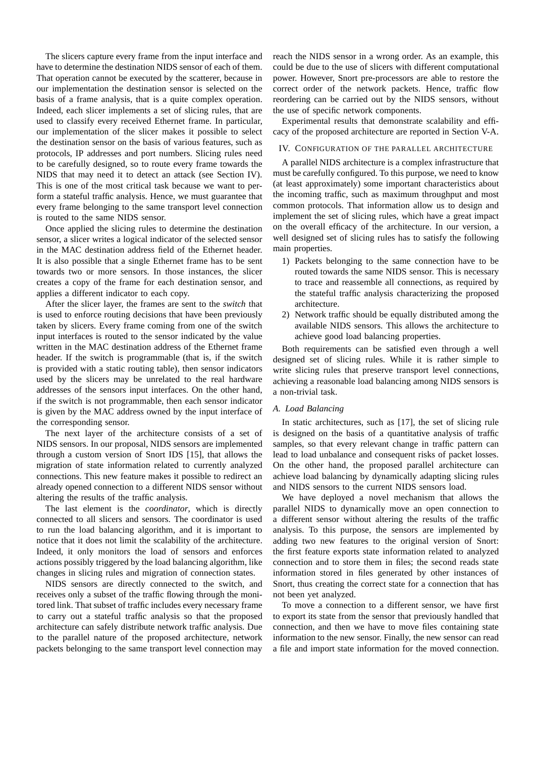The slicers capture every frame from the input interface and have to determine the destination NIDS sensor of each of them. That operation cannot be executed by the scatterer, because in our implementation the destination sensor is selected on the basis of a frame analysis, that is a quite complex operation. Indeed, each slicer implements a set of slicing rules, that are used to classify every received Ethernet frame. In particular, our implementation of the slicer makes it possible to select the destination sensor on the basis of various features, such as protocols, IP addresses and port numbers. Slicing rules need to be carefully designed, so to route every frame towards the NIDS that may need it to detect an attack (see Section IV). This is one of the most critical task because we want to perform a stateful traffic analysis. Hence, we must guarantee that every frame belonging to the same transport level connection is routed to the same NIDS sensor.

Once applied the slicing rules to determine the destination sensor, a slicer writes a logical indicator of the selected sensor in the MAC destination address field of the Ethernet header. It is also possible that a single Ethernet frame has to be sent towards two or more sensors. In those instances, the slicer creates a copy of the frame for each destination sensor, and applies a different indicator to each copy.

After the slicer layer, the frames are sent to the *switch* that is used to enforce routing decisions that have been previously taken by slicers. Every frame coming from one of the switch input interfaces is routed to the sensor indicated by the value written in the MAC destination address of the Ethernet frame header. If the switch is programmable (that is, if the switch is provided with a static routing table), then sensor indicators used by the slicers may be unrelated to the real hardware addresses of the sensors input interfaces. On the other hand, if the switch is not programmable, then each sensor indicator is given by the MAC address owned by the input interface of the corresponding sensor.

The next layer of the architecture consists of a set of NIDS sensors. In our proposal, NIDS sensors are implemented through a custom version of Snort IDS [15], that allows the migration of state information related to currently analyzed connections. This new feature makes it possible to redirect an already opened connection to a different NIDS sensor without altering the results of the traffic analysis.

The last element is the *coordinator*, which is directly connected to all slicers and sensors. The coordinator is used to run the load balancing algorithm, and it is important to notice that it does not limit the scalability of the architecture. Indeed, it only monitors the load of sensors and enforces actions possibly triggered by the load balancing algorithm, like changes in slicing rules and migration of connection states.

NIDS sensors are directly connected to the switch, and receives only a subset of the traffic flowing through the monitored link. That subset of traffic includes every necessary frame to carry out a stateful traffic analysis so that the proposed architecture can safely distribute network traffic analysis. Due to the parallel nature of the proposed architecture, network packets belonging to the same transport level connection may

reach the NIDS sensor in a wrong order. As an example, this could be due to the use of slicers with different computational power. However, Snort pre-processors are able to restore the correct order of the network packets. Hence, traffic flow reordering can be carried out by the NIDS sensors, without the use of specific network components.

Experimental results that demonstrate scalability and efficacy of the proposed architecture are reported in Section V-A.

## IV. CONFIGURATION OF THE PARALLEL ARCHITECTURE

A parallel NIDS architecture is a complex infrastructure that must be carefully configured. To this purpose, we need to know (at least approximately) some important characteristics about the incoming traffic, such as maximum throughput and most common protocols. That information allow us to design and implement the set of slicing rules, which have a great impact on the overall efficacy of the architecture. In our version, a well designed set of slicing rules has to satisfy the following main properties.

- 1) Packets belonging to the same connection have to be routed towards the same NIDS sensor. This is necessary to trace and reassemble all connections, as required by the stateful traffic analysis characterizing the proposed architecture.
- 2) Network traffic should be equally distributed among the available NIDS sensors. This allows the architecture to achieve good load balancing properties.

Both requirements can be satisfied even through a well designed set of slicing rules. While it is rather simple to write slicing rules that preserve transport level connections, achieving a reasonable load balancing among NIDS sensors is a non-trivial task.

## *A. Load Balancing*

In static architectures, such as [17], the set of slicing rule is designed on the basis of a quantitative analysis of traffic samples, so that every relevant change in traffic pattern can lead to load unbalance and consequent risks of packet losses. On the other hand, the proposed parallel architecture can achieve load balancing by dynamically adapting slicing rules and NIDS sensors to the current NIDS sensors load.

We have deployed a novel mechanism that allows the parallel NIDS to dynamically move an open connection to a different sensor without altering the results of the traffic analysis. To this purpose, the sensors are implemented by adding two new features to the original version of Snort: the first feature exports state information related to analyzed connection and to store them in files; the second reads state information stored in files generated by other instances of Snort, thus creating the correct state for a connection that has not been yet analyzed.

To move a connection to a different sensor, we have first to export its state from the sensor that previously handled that connection, and then we have to move files containing state information to the new sensor. Finally, the new sensor can read a file and import state information for the moved connection.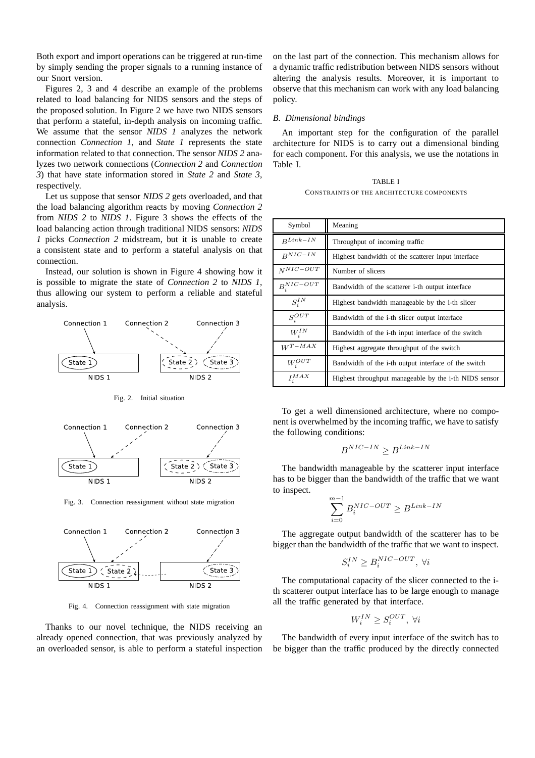Both export and import operations can be triggered at run-time by simply sending the proper signals to a running instance of our Snort version.

Figures 2, 3 and 4 describe an example of the problems related to load balancing for NIDS sensors and the steps of the proposed solution. In Figure 2 we have two NIDS sensors that perform a stateful, in-depth analysis on incoming traffic. We assume that the sensor *NIDS 1* analyzes the network connection *Connection 1*, and *State 1* represents the state information related to that connection. The sensor *NIDS 2* analyzes two network connections (*Connection 2* and *Connection 3*) that have state information stored in *State 2* and *State 3*, respectively.

Let us suppose that sensor *NIDS 2* gets overloaded, and that the load balancing algorithm reacts by moving *Connection 2* from *NIDS 2* to *NIDS 1*. Figure 3 shows the effects of the load balancing action through traditional NIDS sensors: *NIDS 1* picks *Connection 2* midstream, but it is unable to create a consistent state and to perform a stateful analysis on that connection.

Instead, our solution is shown in Figure 4 showing how it is possible to migrate the state of *Connection 2* to *NIDS 1*, thus allowing our system to perform a reliable and stateful analysis.



Fig. 2. Initial situation



Fig. 3. Connection reassignment without state migration



Fig. 4. Connection reassignment with state migration

Thanks to our novel technique, the NIDS receiving an already opened connection, that was previously analyzed by an overloaded sensor, is able to perform a stateful inspection on the last part of the connection. This mechanism allows for a dynamic traffic redistribution between NIDS sensors without altering the analysis results. Moreover, it is important to observe that this mechanism can work with any load balancing policy.

## *B. Dimensional bindings*

An important step for the configuration of the parallel architecture for NIDS is to carry out a dimensional binding for each component. For this analysis, we use the notations in Table I.

TABLE I CONSTRAINTS OF THE ARCHITECTURE COMPONENTS

| Symbol          | Meaning                                                       |  |  |  |
|-----------------|---------------------------------------------------------------|--|--|--|
| $R^{Link-IN}$   | Throughput of incoming traffic                                |  |  |  |
| $B^{NIC-IN}$    | Highest bandwidth of the scatterer input interface            |  |  |  |
| $N^{NIC-OUT}$   | Number of slicers                                             |  |  |  |
| $B_i^{NIC-OUT}$ | Bandwidth of the scatterer i-th output interface              |  |  |  |
| $S_i^{IN}$      | Highest bandwidth manageable by the i-th slicer               |  |  |  |
| $S_i^{OUT}$     | Bandwidth of the i-th slicer output interface                 |  |  |  |
| $W_i^{IN}$      | Bandwidth of the i-th input interface of the switch           |  |  |  |
| $W^{T-MAX}$     | Highest aggregate throughput of the switch                    |  |  |  |
| $W_i^{OUT}$     | Bandwidth of the i-th output interface of the switch          |  |  |  |
| $I_i^{MAX}$     | Highest throughput manageable by the <i>i</i> -th NIDS sensor |  |  |  |

To get a well dimensioned architecture, where no component is overwhelmed by the incoming traffic, we have to satisfy the following conditions:

$$
B^{NIC-IN} \ge B^{Link-IN}
$$

The bandwidth manageable by the scatterer input interface has to be bigger than the bandwidth of the traffic that we want to inspect.

$$
\sum_{i=0}^{m-1} B_i^{NIC-OUT} \ge B^{Link-IN}
$$

The aggregate output bandwidth of the scatterer has to be bigger than the bandwidth of the traffic that we want to inspect.

$$
S_i^{IN} \ge B_i^{NIC-OUT}, \ \forall i
$$

The computational capacity of the slicer connected to the ith scatterer output interface has to be large enough to manage all the traffic generated by that interface.

$$
W_i^{IN} \ge S_i^{OUT}, \ \forall i
$$

The bandwidth of every input interface of the switch has to be bigger than the traffic produced by the directly connected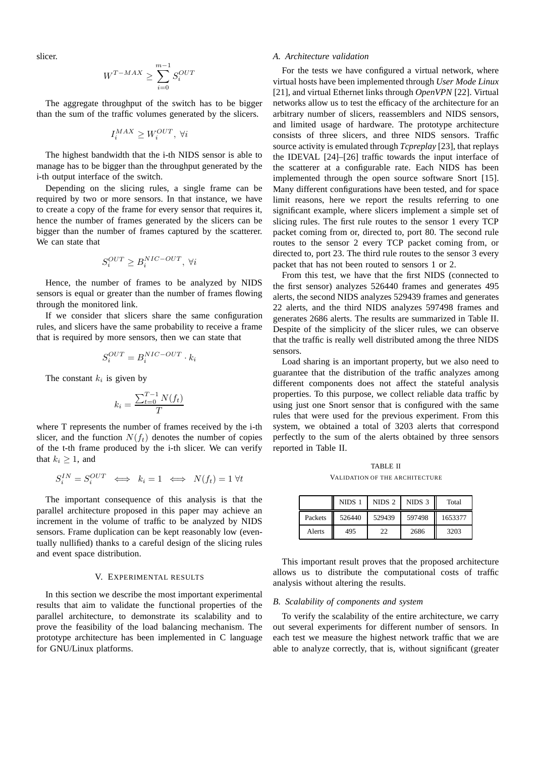slicer.

$$
W^{T-MAX}\geq \sum_{i=0}^{m-1}S_i^{OUT}
$$

The aggregate throughput of the switch has to be bigger than the sum of the traffic volumes generated by the slicers.

$$
I_i^{MAX} \ge W_i^{OUT}, \ \forall i
$$

The highest bandwidth that the i-th NIDS sensor is able to manage has to be bigger than the throughput generated by the i-th output interface of the switch.

Depending on the slicing rules, a single frame can be required by two or more sensors. In that instance, we have to create a copy of the frame for every sensor that requires it, hence the number of frames generated by the slicers can be bigger than the number of frames captured by the scatterer. We can state that

$$
S_i^{OUT} \ge B_i^{NIC-OUT}, \ \forall i
$$

Hence, the number of frames to be analyzed by NIDS sensors is equal or greater than the number of frames flowing through the monitored link.

If we consider that slicers share the same configuration rules, and slicers have the same probability to receive a frame that is required by more sensors, then we can state that

$$
S_i^{OUT} = B_i^{NIC-OUT} \cdot k_i
$$

The constant  $k_i$  is given by

$$
k_i = \frac{\sum_{t=0}^{T-1} N(f_t)}{T}
$$

where T represents the number of frames received by the i-th slicer, and the function  $N(f_t)$  denotes the number of copies of the t-th frame produced by the i-th slicer. We can verify that  $k_i \geq 1$ , and

$$
S_i^{IN} = S_i^{OUT} \iff k_i = 1 \iff N(f_t) = 1 \,\forall t
$$

The important consequence of this analysis is that the parallel architecture proposed in this paper may achieve an increment in the volume of traffic to be analyzed by NIDS sensors. Frame duplication can be kept reasonably low (eventually nullified) thanks to a careful design of the slicing rules and event space distribution.

## V. EXPERIMENTAL RESULTS

In this section we describe the most important experimental results that aim to validate the functional properties of the parallel architecture, to demonstrate its scalability and to prove the feasibility of the load balancing mechanism. The prototype architecture has been implemented in C language for GNU/Linux platforms.

## *A. Architecture validation*

For the tests we have configured a virtual network, where virtual hosts have been implemented through *User Mode Linux* [21], and virtual Ethernet links through *OpenVPN* [22]. Virtual networks allow us to test the efficacy of the architecture for an arbitrary number of slicers, reassemblers and NIDS sensors, and limited usage of hardware. The prototype architecture consists of three slicers, and three NIDS sensors. Traffic source activity is emulated through *Tcpreplay* [23], that replays the IDEVAL [24]–[26] traffic towards the input interface of the scatterer at a configurable rate. Each NIDS has been implemented through the open source software Snort [15]. Many different configurations have been tested, and for space limit reasons, here we report the results referring to one significant example, where slicers implement a simple set of slicing rules. The first rule routes to the sensor 1 every TCP packet coming from or, directed to, port 80. The second rule routes to the sensor 2 every TCP packet coming from, or directed to, port 23. The third rule routes to the sensor 3 every packet that has not been routed to sensors 1 or 2.

From this test, we have that the first NIDS (connected to the first sensor) analyzes 526440 frames and generates 495 alerts, the second NIDS analyzes 529439 frames and generates 22 alerts, and the third NIDS analyzes 597498 frames and generates 2686 alerts. The results are summarized in Table II. Despite of the simplicity of the slicer rules, we can observe that the traffic is really well distributed among the three NIDS sensors.

Load sharing is an important property, but we also need to guarantee that the distribution of the traffic analyzes among different components does not affect the stateful analysis properties. To this purpose, we collect reliable data traffic by using just one Snort sensor that is configured with the same rules that were used for the previous experiment. From this system, we obtained a total of 3203 alerts that correspond perfectly to the sum of the alerts obtained by three sensors reported in Table II.

TABLE II VALIDATION OF THE ARCHITECTURE

|         | NIDS 1 | NIDS <sub>2</sub> | NIDS 3 | Total   |
|---------|--------|-------------------|--------|---------|
| Packets | 526440 | 529439            | 597498 | 1653377 |
| Alerts  | 495    | 22                | 2686   | 3203    |

This important result proves that the proposed architecture allows us to distribute the computational costs of traffic analysis without altering the results.

## *B. Scalability of components and system*

To verify the scalability of the entire architecture, we carry out several experiments for different number of sensors. In each test we measure the highest network traffic that we are able to analyze correctly, that is, without significant (greater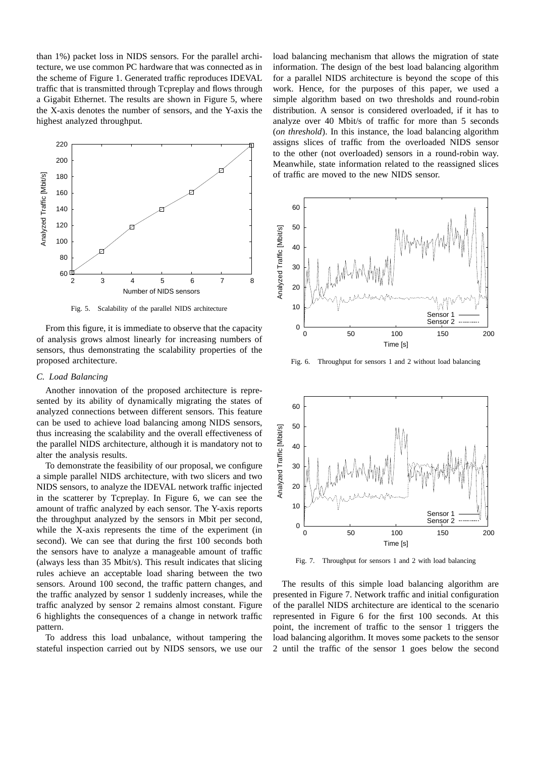than 1%) packet loss in NIDS sensors. For the parallel architecture, we use common PC hardware that was connected as in the scheme of Figure 1. Generated traffic reproduces IDEVAL traffic that is transmitted through Tcpreplay and flows through a Gigabit Ethernet. The results are shown in Figure 5, where the X-axis denotes the number of sensors, and the Y-axis the highest analyzed throughput.



Fig. 5. Scalability of the parallel NIDS architecture

From this figure, it is immediate to observe that the capacity of analysis grows almost linearly for increasing numbers of sensors, thus demonstrating the scalability properties of the proposed architecture.

### *C. Load Balancing*

Another innovation of the proposed architecture is represented by its ability of dynamically migrating the states of analyzed connections between different sensors. This feature can be used to achieve load balancing among NIDS sensors, thus increasing the scalability and the overall effectiveness of the parallel NIDS architecture, although it is mandatory not to alter the analysis results.

To demonstrate the feasibility of our proposal, we configure a simple parallel NIDS architecture, with two slicers and two NIDS sensors, to analyze the IDEVAL network traffic injected in the scatterer by Tcpreplay. In Figure 6, we can see the amount of traffic analyzed by each sensor. The Y-axis reports the throughput analyzed by the sensors in Mbit per second, while the X-axis represents the time of the experiment (in second). We can see that during the first 100 seconds both the sensors have to analyze a manageable amount of traffic (always less than 35 Mbit/s). This result indicates that slicing rules achieve an acceptable load sharing between the two sensors. Around 100 second, the traffic pattern changes, and the traffic analyzed by sensor 1 suddenly increases, while the traffic analyzed by sensor 2 remains almost constant. Figure 6 highlights the consequences of a change in network traffic pattern.

To address this load unbalance, without tampering the stateful inspection carried out by NIDS sensors, we use our

load balancing mechanism that allows the migration of state information. The design of the best load balancing algorithm for a parallel NIDS architecture is beyond the scope of this work. Hence, for the purposes of this paper, we used a simple algorithm based on two thresholds and round-robin distribution. A sensor is considered overloaded, if it has to analyze over 40 Mbit/s of traffic for more than 5 seconds (*on threshold*). In this instance, the load balancing algorithm assigns slices of traffic from the overloaded NIDS sensor to the other (not overloaded) sensors in a round-robin way. Meanwhile, state information related to the reassigned slices of traffic are moved to the new NIDS sensor.



Fig. 6. Throughput for sensors 1 and 2 without load balancing



Fig. 7. Throughput for sensors 1 and 2 with load balancing

The results of this simple load balancing algorithm are presented in Figure 7. Network traffic and initial configuration of the parallel NIDS architecture are identical to the scenario represented in Figure 6 for the first 100 seconds. At this point, the increment of traffic to the sensor 1 triggers the load balancing algorithm. It moves some packets to the sensor 2 until the traffic of the sensor 1 goes below the second